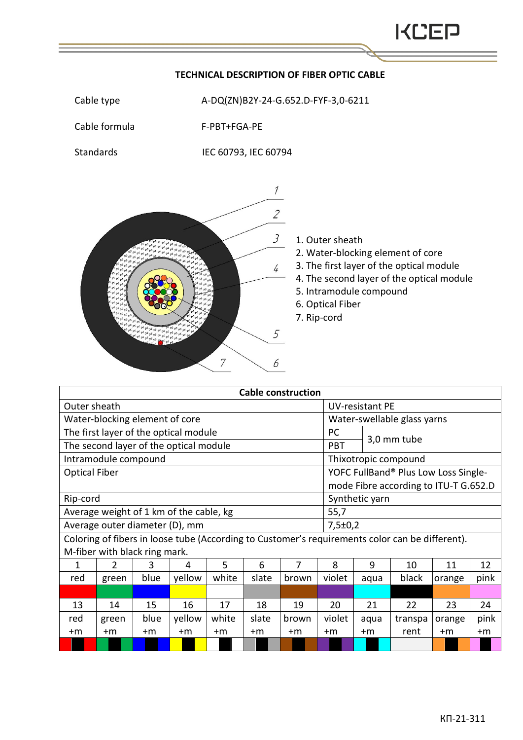## Cable formula F-PBT+FGA-PE Standards IEC 60793, IEC 60794  $\mathcal{I}$  $\overline{2}$  $\mathcal{J}_{\mathcal{I}}$ 1. Outer sheath 2. Water-blocking element of core 3. The first layer of the optical module  $\frac{1}{4}$ 4. The second layer of the optical module 5. Intramodule compound 6. Optical Fiber 7. Rip-cord  $\mathcal{F}_{\mathcal{L}}$  $\overline{7}$ 6

| <b>Cable construction</b>                                                                       |               |      |        |       |       |       |            |                                       |             |        |      |  |
|-------------------------------------------------------------------------------------------------|---------------|------|--------|-------|-------|-------|------------|---------------------------------------|-------------|--------|------|--|
| Outer sheath                                                                                    |               |      |        |       |       |       |            | UV-resistant PE                       |             |        |      |  |
| Water-blocking element of core                                                                  |               |      |        |       |       |       |            | Water-swellable glass yarns           |             |        |      |  |
| The first layer of the optical module                                                           |               |      |        |       |       |       | PC.        |                                       | 3,0 mm tube |        |      |  |
| The second layer of the optical module                                                          |               |      |        |       |       |       | <b>PBT</b> |                                       |             |        |      |  |
| Intramodule compound                                                                            |               |      |        |       |       |       |            | Thixotropic compound                  |             |        |      |  |
| <b>Optical Fiber</b>                                                                            |               |      |        |       |       |       |            | YOFC FullBand® Plus Low Loss Single-  |             |        |      |  |
|                                                                                                 |               |      |        |       |       |       |            | mode Fibre according to ITU-T G.652.D |             |        |      |  |
| Rip-cord                                                                                        |               |      |        |       |       |       |            | Synthetic yarn                        |             |        |      |  |
| Average weight of 1 km of the cable, kg                                                         |               |      |        |       |       |       |            | 55,7                                  |             |        |      |  |
| Average outer diameter (D), mm                                                                  |               |      |        |       |       |       |            | 7,5±0,2                               |             |        |      |  |
| Coloring of fibers in loose tube (According to Customer's requirements color can be different). |               |      |        |       |       |       |            |                                       |             |        |      |  |
| M-fiber with black ring mark.                                                                   |               |      |        |       |       |       |            |                                       |             |        |      |  |
| 1                                                                                               | $\mathcal{P}$ | 3    | 4      | 5     | 6     | 7     | 8          | 9                                     | 10          | 11     | 12   |  |
| red                                                                                             | green         | blue | yellow | white | slate | brown | violet     | aqua                                  | black       | orange | pink |  |
|                                                                                                 |               |      |        |       |       |       |            |                                       |             |        |      |  |
| 13                                                                                              | 14            | 15   | 16     | 17    | 18    | 19    | 20         | 21                                    | 22          | 23     | 24   |  |
| red                                                                                             | green         | blue | yellow | white | slate | brown | violet     | aqua                                  | transpa     | orange | pink |  |
| +m                                                                                              | +m            | +m   | $+m$   | $+m$  | $+m$  | +m    | +m         | +m                                    | rent        | $+m$   | +m   |  |
|                                                                                                 |               |      |        |       |       |       |            |                                       |             |        |      |  |

## **TECHNICAL DESCRIPTION OF FIBER OPTIC CABLE**

Cable type  $A-DQ(ZN)B2Y-24-G.652.D-FYF-3,0-G211$